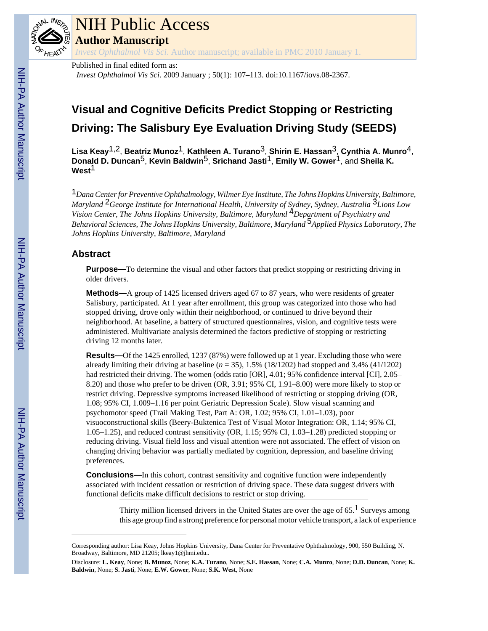

# NIH Public Access

**Author Manuscript**

*Invest Ophthalmol Vis Sci*. Author manuscript; available in PMC 2010 January 1.

### Published in final edited form as:

*Invest Ophthalmol Vis Sci*. 2009 January ; 50(1): 107–113. doi:10.1167/iovs.08-2367.

## **Visual and Cognitive Deficits Predict Stopping or Restricting Driving: The Salisbury Eye Evaluation Driving Study (SEEDS)**

**Lisa Keay**1,2, **Beatriz Munoz**1, **Kathleen A. Turano**3, **Shirin E. Hassan**3, **Cynthia A. Munro**4, **Donald D. Duncan**5, **Kevin Baldwin**5, **Srichand Jasti**1, **Emily W. Gower**1, and **Sheila K. West**1

1*Dana Center for Preventive Ophthalmology, Wilmer Eye Institute, The Johns Hopkins University, Baltimore, Maryland* 2*George Institute for International Health, University of Sydney, Sydney, Australia* 3*Lions Low Vision Center, The Johns Hopkins University, Baltimore, Maryland* 4*Department of Psychiatry and Behavioral Sciences, The Johns Hopkins University, Baltimore, Maryland* 5*Applied Physics Laboratory, The Johns Hopkins University, Baltimore, Maryland*

#### **Abstract**

**Purpose—**To determine the visual and other factors that predict stopping or restricting driving in older drivers.

**Methods—**A group of 1425 licensed drivers aged 67 to 87 years, who were residents of greater Salisbury, participated. At 1 year after enrollment, this group was categorized into those who had stopped driving, drove only within their neighborhood, or continued to drive beyond their neighborhood. At baseline, a battery of structured questionnaires, vision, and cognitive tests were administered. Multivariate analysis determined the factors predictive of stopping or restricting driving 12 months later.

**Results—Of** the 1425 enrolled, 1237 (87%) were followed up at 1 year. Excluding those who were already limiting their driving at baseline  $(n = 35)$ , 1.5% (18/1202) had stopped and 3.4% (41/1202) had restricted their driving. The women (odds ratio [OR], 4.01; 95% confidence interval [CI], 2.05– 8.20) and those who prefer to be driven (OR, 3.91; 95% CI, 1.91–8.00) were more likely to stop or restrict driving. Depressive symptoms increased likelihood of restricting or stopping driving (OR, 1.08; 95% CI, 1.009–1.16 per point Geriatric Depression Scale). Slow visual scanning and psychomotor speed (Trail Making Test, Part A: OR, 1.02; 95% CI, 1.01–1.03), poor visuoconstructional skills (Beery-Buktenica Test of Visual Motor Integration: OR, 1.14; 95% CI, 1.05–1.25), and reduced contrast sensitivity (OR, 1.15; 95% CI, 1.03–1.28) predicted stopping or reducing driving. Visual field loss and visual attention were not associated. The effect of vision on changing driving behavior was partially mediated by cognition, depression, and baseline driving preferences.

**Conclusions—**In this cohort, contrast sensitivity and cognitive function were independently associated with incident cessation or restriction of driving space. These data suggest drivers with functional deficits make difficult decisions to restrict or stop driving.

> Thirty million licensed drivers in the United States are over the age of  $65<sup>1</sup>$  Surveys among this age group find a strong preference for personal motor vehicle transport, a lack of experience

Corresponding author: Lisa Keay, Johns Hopkins University, Dana Center for Preventative Ophthalmology, 900, 550 Building, N. Broadway, Baltimore, MD 21205; lkeay1@jhmi.edu..

Disclosure: **L. Keay**, None; **B. Munoz**, None; **K.A. Turano**, None; **S.E. Hassan**, None; **C.A. Munro**, None; **D.D. Duncan**, None; **K. Baldwin**, None; **S. Jasti**, None; **E.W. Gower**, None; **S.K. West**, None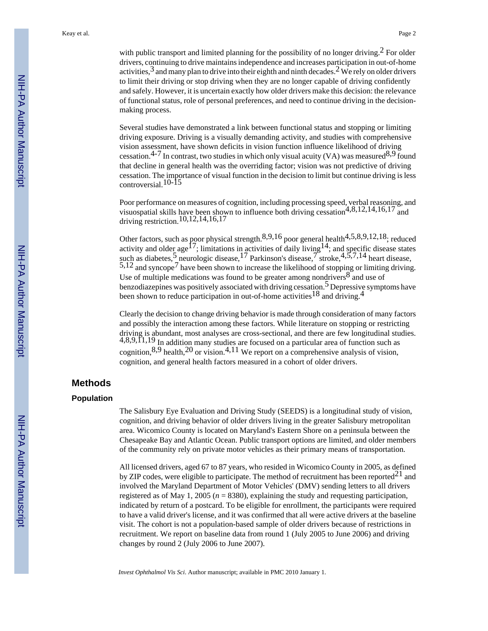Several studies have demonstrated a link between functional status and stopping or limiting driving exposure. Driving is a visually demanding activity, and studies with comprehensive vision assessment, have shown deficits in vision function influence likelihood of driving cessation.<sup>4-7</sup> In contrast, two studies in which only visual acuity (VA) was measured<sup>8,9</sup> found that decline in general health was the overriding factor; vision was not predictive of driving cessation. The importance of visual function in the decision to limit but continue driving is less controversial.10-15

Poor performance on measures of cognition, including processing speed, verbal reasoning, and visuospatial skills have been shown to influence both driving cessation<sup>4,8,12,14,16,17</sup> and driving restriction.10,12,14,16,17

Other factors, such as poor physical strength. $8,9,16$  poor general health $4,5,8,9,12,18$ ; reduced activity and older age<sup>17</sup>; limitations in activities of daily living <sup>14</sup>; and specific disease states such as diabetes,<sup>5</sup> neurologic disease,<sup>17</sup> Parkinson's disease,<sup>7</sup> stroke,<sup>4,5,7,14</sup> heart disease, 5,12 and syncope<sup>7</sup> have been shown to increase the likelihood of stopping or limiting driving. Use of multiple medications was found to be greater among nondrivers  $8^{\circ}$  and use of benzodiazepines was positively associated with driving cessation.<sup>5</sup> Depressive symptoms have been shown to reduce participation in out-of-home activities<sup>18</sup> and driving.<sup>4</sup>

Clearly the decision to change driving behavior is made through consideration of many factors and possibly the interaction among these factors. While literature on stopping or restricting driving is abundant, most analyses are cross-sectional, and there are few longitudinal studies.  $4,8,9,11,19$  In addition many studies are focused on a particular area of function such as cognition,  $8,9$  health,  $20$  or vision.  $4,11$  We report on a comprehensive analysis of vision, cognition, and general health factors measured in a cohort of older drivers.

#### **Methods**

#### **Population**

The Salisbury Eye Evaluation and Driving Study (SEEDS) is a longitudinal study of vision, cognition, and driving behavior of older drivers living in the greater Salisbury metropolitan area. Wicomico County is located on Maryland's Eastern Shore on a peninsula between the Chesapeake Bay and Atlantic Ocean. Public transport options are limited, and older members of the community rely on private motor vehicles as their primary means of transportation.

All licensed drivers, aged 67 to 87 years, who resided in Wicomico County in 2005, as defined by ZIP codes, were eligible to participate. The method of recruitment has been reported $^{21}$  and involved the Maryland Department of Motor Vehicles' (DMV) sending letters to all drivers registered as of May 1, 2005 (*n* = 8380), explaining the study and requesting participation, indicated by return of a postcard. To be eligible for enrollment, the participants were required to have a valid driver's license, and it was confirmed that all were active drivers at the baseline visit. The cohort is not a population-based sample of older drivers because of restrictions in recruitment. We report on baseline data from round 1 (July 2005 to June 2006) and driving changes by round 2 (July 2006 to June 2007).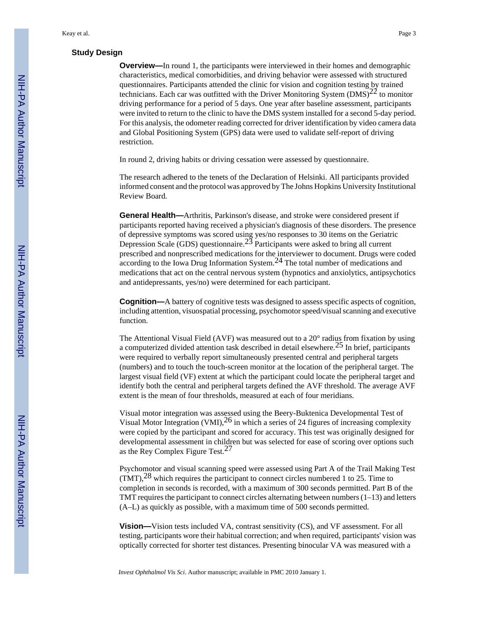#### **Study Design**

**Overview—**In round 1, the participants were interviewed in their homes and demographic characteristics, medical comorbidities, and driving behavior were assessed with structured questionnaires. Participants attended the clinic for vision and cognition testing by trained technicians. Each car was outfitted with the Driver Monitoring System  $(DMS)^{22}$  to monitor driving performance for a period of 5 days. One year after baseline assessment, participants were invited to return to the clinic to have the DMS system installed for a second 5-day period. For this analysis, the odometer reading corrected for driver identification by video camera data and Global Positioning System (GPS) data were used to validate self-report of driving restriction.

In round 2, driving habits or driving cessation were assessed by questionnaire.

The research adhered to the tenets of the Declaration of Helsinki. All participants provided informed consent and the protocol was approved by The Johns Hopkins University Institutional Review Board.

**General Health—**Arthritis, Parkinson's disease, and stroke were considered present if participants reported having received a physician's diagnosis of these disorders. The presence of depressive symptoms was scored using yes/no responses to 30 items on the Geriatric Depression Scale (GDS) questionnaire.23 Participants were asked to bring all current prescribed and nonprescribed medications for the interviewer to document. Drugs were coded  $\frac{1}{2}$  according to the Iowa Drug Information System.<sup>24</sup> The total number of medications and medications that act on the central nervous system (hypnotics and anxiolytics, antipsychotics and antidepressants, yes/no) were determined for each participant.

**Cognition—**A battery of cognitive tests was designed to assess specific aspects of cognition, including attention, visuospatial processing, psychomotor speed/visual scanning and executive function.

The Attentional Visual Field (AVF) was measured out to a 20° radius from fixation by using a computerized divided attention task described in detail elsewhere.25 In brief, participants were required to verbally report simultaneously presented central and peripheral targets (numbers) and to touch the touch-screen monitor at the location of the peripheral target. The largest visual field (VF) extent at which the participant could locate the peripheral target and identify both the central and peripheral targets defined the AVF threshold. The average AVF extent is the mean of four thresholds, measured at each of four meridians.

Visual motor integration was assessed using the Beery-Buktenica Developmental Test of Visual Motor Integration (VMI),  $^{26}$  in which a series of 24 figures of increasing complexity were copied by the participant and scored for accuracy. This test was originally designed for developmental assessment in children but was selected for ease of scoring over options such as the Rey Complex Figure Test.<sup>27</sup>

Psychomotor and visual scanning speed were assessed using Part A of the Trail Making Test  $(TMT)$ ,  $^{28}$  which requires the participant to connect circles numbered 1 to 25. Time to completion in seconds is recorded, with a maximum of 300 seconds permitted. Part B of the TMT requires the participant to connect circles alternating between numbers  $(1-13)$  and letters (A–L) as quickly as possible, with a maximum time of 500 seconds permitted.

**Vision—**Vision tests included VA, contrast sensitivity (CS), and VF assessment. For all testing, participants wore their habitual correction; and when required, participants' vision was optically corrected for shorter test distances. Presenting binocular VA was measured with a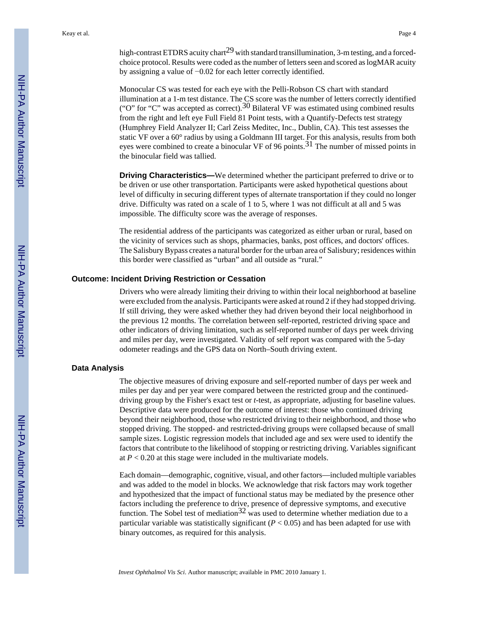high-contrast ETDRS acuity chart<sup>29</sup> with standard transillumination, 3-m testing, and a forcedchoice protocol. Results were coded as the number of letters seen and scored as logMAR acuity by assigning a value of −0.02 for each letter correctly identified.

Monocular CS was tested for each eye with the Pelli-Robson CS chart with standard illumination at a 1-m test distance. The CS score was the number of letters correctly identified ("O" for "C" was accepted as correct).<sup>30</sup> Bilateral VF was estimated using combined results from the right and left eye Full Field 81 Point tests, with a Quantify-Defects test strategy (Humphrey Field Analyzer II; Carl Zeiss Meditec, Inc., Dublin, CA). This test assesses the static VF over a 60° radius by using a Goldmann III target. For this analysis, results from both eyes were combined to create a binocular VF of 96 points.<sup>31</sup> The number of missed points in the binocular field was tallied.

**Driving Characteristics—We determined whether the participant preferred to drive or to** be driven or use other transportation. Participants were asked hypothetical questions about level of difficulty in securing different types of alternate transportation if they could no longer drive. Difficulty was rated on a scale of 1 to 5, where 1 was not difficult at all and 5 was impossible. The difficulty score was the average of responses.

The residential address of the participants was categorized as either urban or rural, based on the vicinity of services such as shops, pharmacies, banks, post offices, and doctors' offices. The Salisbury Bypass creates a natural border for the urban area of Salisbury; residences within this border were classified as "urban" and all outside as "rural."

#### **Outcome: Incident Driving Restriction or Cessation**

Drivers who were already limiting their driving to within their local neighborhood at baseline were excluded from the analysis. Participants were asked at round 2 if they had stopped driving. If still driving, they were asked whether they had driven beyond their local neighborhood in the previous 12 months. The correlation between self-reported, restricted driving space and other indicators of driving limitation, such as self-reported number of days per week driving and miles per day, were investigated. Validity of self report was compared with the 5-day odometer readings and the GPS data on North–South driving extent.

#### **Data Analysis**

The objective measures of driving exposure and self-reported number of days per week and miles per day and per year were compared between the restricted group and the continueddriving group by the Fisher's exact test or *t*-test, as appropriate, adjusting for baseline values. Descriptive data were produced for the outcome of interest: those who continued driving beyond their neighborhood, those who restricted driving to their neighborhood, and those who stopped driving. The stopped- and restricted-driving groups were collapsed because of small sample sizes. Logistic regression models that included age and sex were used to identify the factors that contribute to the likelihood of stopping or restricting driving. Variables significant at  $P < 0.20$  at this stage were included in the multivariate models.

Each domain—demographic, cognitive, visual, and other factors—included multiple variables and was added to the model in blocks. We acknowledge that risk factors may work together and hypothesized that the impact of functional status may be mediated by the presence other factors including the preference to drive, presence of depressive symptoms, and executive function. The Sobel test of mediation<sup>32</sup> was used to determine whether mediation due to a particular variable was statistically significant  $(P < 0.05)$  and has been adapted for use with binary outcomes, as required for this analysis.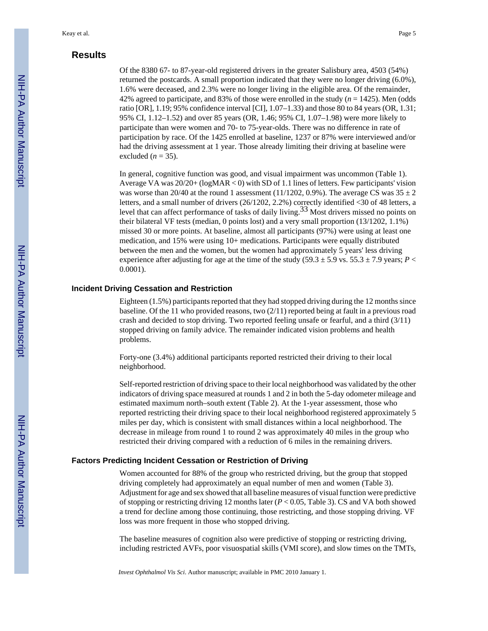#### **Results**

Of the 8380 67- to 87-year-old registered drivers in the greater Salisbury area, 4503 (54%) returned the postcards. A small proportion indicated that they were no longer driving (6.0%), 1.6% were deceased, and 2.3% were no longer living in the eligible area. Of the remainder, 42% agreed to participate, and 83% of those were enrolled in the study  $(n = 1425)$ . Men (odds ratio [OR], 1.19; 95% confidence interval [CI], 1.07–1.33) and those 80 to 84 years (OR, 1.31; 95% CI, 1.12–1.52) and over 85 years (OR, 1.46; 95% CI, 1.07–1.98) were more likely to participate than were women and 70- to 75-year-olds. There was no difference in rate of participation by race. Of the 1425 enrolled at baseline, 1237 or 87% were interviewed and/or had the driving assessment at 1 year. Those already limiting their driving at baseline were excluded  $(n = 35)$ .

In general, cognitive function was good, and visual impairment was uncommon (Table 1). Average VA was 20/20+ (logMAR < 0) with SD of 1.1 lines of letters. Few participants' vision was worse than 20/40 at the round 1 assessment (11/1202, 0.9%). The average CS was  $35 \pm 2$ letters, and a small number of drivers (26/1202, 2.2%) correctly identified <30 of 48 letters, a level that can affect performance of tasks of daily living.33 Most drivers missed no points on their bilateral VF tests (median, 0 points lost) and a very small proportion (13/1202, 1.1%) missed 30 or more points. At baseline, almost all participants (97%) were using at least one medication, and 15% were using 10+ medications. Participants were equally distributed between the men and the women, but the women had approximately 5 years' less driving experience after adjusting for age at the time of the study (59.3  $\pm$  5.9 vs. 55.3  $\pm$  7.9 years; *P* < 0.0001).

#### **Incident Driving Cessation and Restriction**

Eighteen (1.5%) participants reported that they had stopped driving during the 12 months since baseline. Of the 11 who provided reasons, two (2/11) reported being at fault in a previous road crash and decided to stop driving. Two reported feeling unsafe or fearful, and a third (3/11) stopped driving on family advice. The remainder indicated vision problems and health problems.

Forty-one (3.4%) additional participants reported restricted their driving to their local neighborhood.

Self-reported restriction of driving space to their local neighborhood was validated by the other indicators of driving space measured at rounds 1 and 2 in both the 5-day odometer mileage and estimated maximum north–south extent (Table 2). At the 1-year assessment, those who reported restricting their driving space to their local neighborhood registered approximately 5 miles per day, which is consistent with small distances within a local neighborhood. The decrease in mileage from round 1 to round 2 was approximately 40 miles in the group who restricted their driving compared with a reduction of 6 miles in the remaining drivers.

#### **Factors Predicting Incident Cessation or Restriction of Driving**

Women accounted for 88% of the group who restricted driving, but the group that stopped driving completely had approximately an equal number of men and women (Table 3). Adjustment for age and sex showed that all baseline measures of visual function were predictive of stopping or restricting driving 12 months later  $(P < 0.05$ , Table 3). CS and VA both showed a trend for decline among those continuing, those restricting, and those stopping driving. VF loss was more frequent in those who stopped driving.

The baseline measures of cognition also were predictive of stopping or restricting driving, including restricted AVFs, poor visuospatial skills (VMI score), and slow times on the TMTs,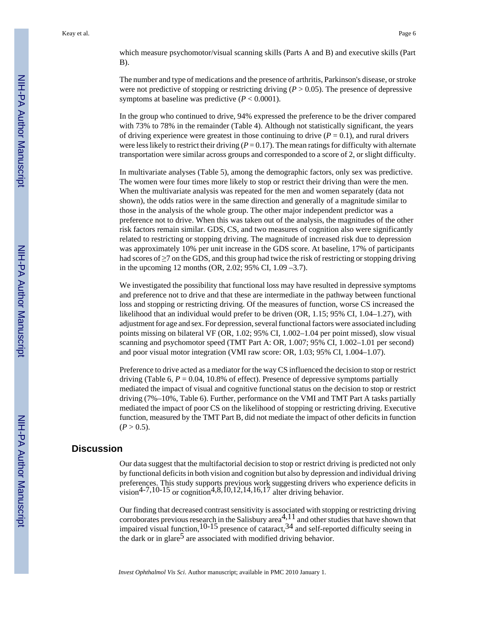which measure psychomotor/visual scanning skills (Parts A and B) and executive skills (Part B).

The number and type of medications and the presence of arthritis, Parkinson's disease, or stroke were not predictive of stopping or restricting driving  $(P > 0.05)$ . The presence of depressive symptoms at baseline was predictive  $(P < 0.0001)$ .

In the group who continued to drive, 94% expressed the preference to be the driver compared with 73% to 78% in the remainder (Table 4). Although not statistically significant, the years of driving experience were greatest in those continuing to drive  $(P = 0.1)$ , and rural drivers were less likely to restrict their driving ( $P = 0.17$ ). The mean ratings for difficulty with alternate transportation were similar across groups and corresponded to a score of 2, or slight difficulty.

In multivariate analyses (Table 5), among the demographic factors, only sex was predictive. The women were four times more likely to stop or restrict their driving than were the men. When the multivariate analysis was repeated for the men and women separately (data not shown), the odds ratios were in the same direction and generally of a magnitude similar to those in the analysis of the whole group. The other major independent predictor was a preference not to drive. When this was taken out of the analysis, the magnitudes of the other risk factors remain similar. GDS, CS, and two measures of cognition also were significantly related to restricting or stopping driving. The magnitude of increased risk due to depression was approximately 10% per unit increase in the GDS score. At baseline, 17% of participants had scores of ≥7 on the GDS, and this group had twice the risk of restricting or stopping driving in the upcoming 12 months (OR, 2.02; 95% CI, 1.09 –3.7).

We investigated the possibility that functional loss may have resulted in depressive symptoms and preference not to drive and that these are intermediate in the pathway between functional loss and stopping or restricting driving. Of the measures of function, worse CS increased the likelihood that an individual would prefer to be driven (OR, 1.15; 95% CI, 1.04–1.27), with adjustment for age and sex. For depression, several functional factors were associated including points missing on bilateral VF (OR, 1.02; 95% CI, 1.002–1.04 per point missed), slow visual scanning and psychomotor speed (TMT Part A: OR, 1.007; 95% CI, 1.002–1.01 per second) and poor visual motor integration (VMI raw score: OR, 1.03; 95% CI, 1.004–1.07).

Preference to drive acted as a mediator for the way CS influenced the decision to stop or restrict driving (Table 6,  $P = 0.04$ , 10.8% of effect). Presence of depressive symptoms partially mediated the impact of visual and cognitive functional status on the decision to stop or restrict driving (7%–10%, Table 6). Further, performance on the VMI and TMT Part A tasks partially mediated the impact of poor CS on the likelihood of stopping or restricting driving. Executive function, measured by the TMT Part B, did not mediate the impact of other deficits in function  $(P > 0.5)$ .

#### **Discussion**

Our data suggest that the multifactorial decision to stop or restrict driving is predicted not only by functional deficits in both vision and cognition but also by depression and individual driving preferences. This study supports previous work suggesting drivers who experience deficits in vision<sup>4-7,10-15</sup> or cognition<sup>4,8,10,12,14,16,17</sup> alter driving behavior.

Our finding that decreased contrast sensitivity is associated with stopping or restricting driving corroborates previous research in the Salisbury area<sup>4,11</sup> and other studies that have shown that impaired visual function,  $10-15$  presence of cataract,  $34$  and self-reported difficulty seeing in the dark or in glare<sup>5</sup> are associated with modified driving behavior.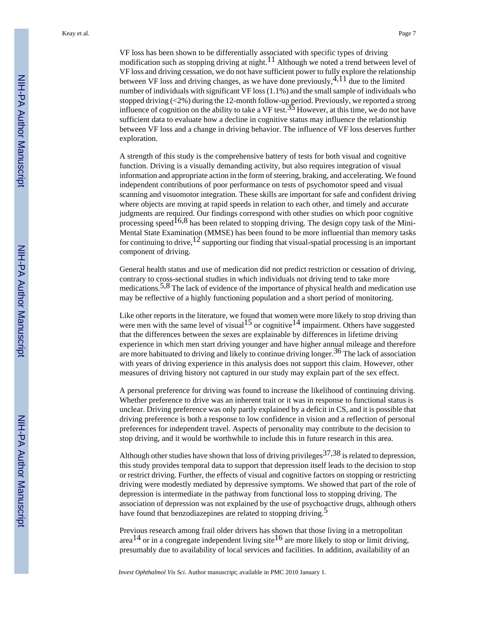Keay et al. Page 7

VF loss has been shown to be differentially associated with specific types of driving modification such as stopping driving at night.<sup>11</sup> Although we noted a trend between level of VF loss and driving cessation, we do not have sufficient power to fully explore the relationship between VF loss and driving changes, as we have done previously,  $4,11$  due to the limited number of individuals with significant VF loss (1.1%) and the small sample of individuals who stopped driving (<2%) during the 12-month follow-up period. Previously, we reported a strong influence of cognition on the ability to take a VF test.<sup>35</sup> However, at this time, we do not have sufficient data to evaluate how a decline in cognitive status may influence the relationship between VF loss and a change in driving behavior. The influence of VF loss deserves further exploration.

A strength of this study is the comprehensive battery of tests for both visual and cognitive function. Driving is a visually demanding activity, but also requires integration of visual information and appropriate action in the form of steering, braking, and accelerating. We found independent contributions of poor performance on tests of psychomotor speed and visual scanning and visuomotor integration. These skills are important for safe and confident driving where objects are moving at rapid speeds in relation to each other, and timely and accurate judgments are required. Our findings correspond with other studies on which poor cognitive processing speed<sup>16,8</sup> has been related to stopping driving. The design copy task of the Mini-Mental State Examination (MMSE) has been found to be more influential than memory tasks for continuing to drive,  $^{12}$  supporting our finding that visual-spatial processing is an important component of driving.

General health status and use of medication did not predict restriction or cessation of driving, contrary to cross-sectional studies in which individuals not driving tend to take more medications.<sup>5,8</sup> The lack of evidence of the importance of physical health and medication use may be reflective of a highly functioning population and a short period of monitoring.

Like other reports in the literature, we found that women were more likely to stop driving than were men with the same level of visual<sup>15</sup> or cognitive<sup>14</sup> impairment. Others have suggested that the differences between the sexes are explainable by differences in lifetime driving experience in which men start driving younger and have higher annual mileage and therefore are more habituated to driving and likely to continue driving longer.<sup>36</sup> The lack of association with years of driving experience in this analysis does not support this claim. However, other measures of driving history not captured in our study may explain part of the sex effect.

A personal preference for driving was found to increase the likelihood of continuing driving. Whether preference to drive was an inherent trait or it was in response to functional status is unclear. Driving preference was only partly explained by a deficit in CS, and it is possible that driving preference is both a response to low confidence in vision and a reflection of personal preferences for independent travel. Aspects of personality may contribute to the decision to stop driving, and it would be worthwhile to include this in future research in this area.

Although other studies have shown that loss of driving privileges  $37,38$  is related to depression, this study provides temporal data to support that depression itself leads to the decision to stop or restrict driving. Further, the effects of visual and cognitive factors on stopping or restricting driving were modestly mediated by depressive symptoms. We showed that part of the role of depression is intermediate in the pathway from functional loss to stopping driving. The association of depression was not explained by the use of psychoactive drugs, although others have found that benzodiazepines are related to stopping driving.<sup>5</sup>

Previous research among frail older drivers has shown that those living in a metropolitan area<sup>14</sup> or in a congregate independent living site<sup>16</sup> are more likely to stop or limit driving, presumably due to availability of local services and facilities. In addition, availability of an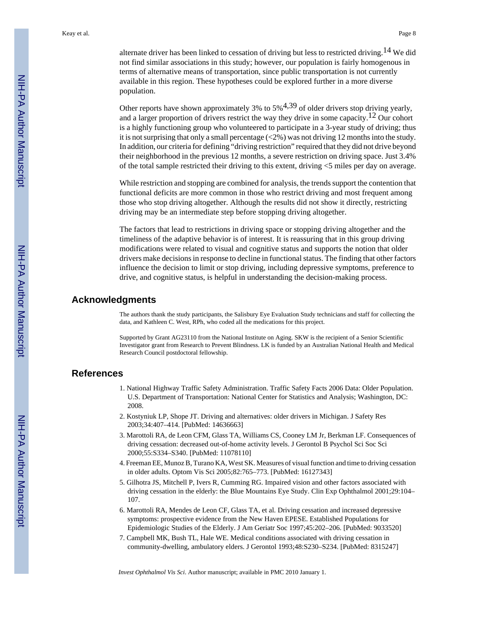alternate driver has been linked to cessation of driving but less to restricted driving.<sup>14</sup> We did not find similar associations in this study; however, our population is fairly homogenous in terms of alternative means of transportation, since public transportation is not currently available in this region. These hypotheses could be explored further in a more diverse population.

Other reports have shown approximately 3% to  $5\frac{4,39}{ }$  of older drivers stop driving yearly, and a larger proportion of drivers restrict the way they drive in some capacity.<sup>12</sup> Our cohort is a highly functioning group who volunteered to participate in a 3-year study of driving; thus it is not surprising that only a small percentage (<2%) was not driving 12 months into the study. In addition, our criteria for defining "driving restriction" required that they did not drive beyond their neighborhood in the previous 12 months, a severe restriction on driving space. Just 3.4% of the total sample restricted their driving to this extent, driving <5 miles per day on average.

While restriction and stopping are combined for analysis, the trends support the contention that functional deficits are more common in those who restrict driving and most frequent among those who stop driving altogether. Although the results did not show it directly, restricting driving may be an intermediate step before stopping driving altogether.

The factors that lead to restrictions in driving space or stopping driving altogether and the timeliness of the adaptive behavior is of interest. It is reassuring that in this group driving modifications were related to visual and cognitive status and supports the notion that older drivers make decisions in response to decline in functional status. The finding that other factors influence the decision to limit or stop driving, including depressive symptoms, preference to drive, and cognitive status, is helpful in understanding the decision-making process.

#### **Acknowledgments**

The authors thank the study participants, the Salisbury Eye Evaluation Study technicians and staff for collecting the data, and Kathleen C. West, RPh, who coded all the medications for this project.

Supported by Grant AG23110 from the National Institute on Aging. SKW is the recipient of a Senior Scientific Investigator grant from Research to Prevent Blindness. LK is funded by an Australian National Health and Medical Research Council postdoctoral fellowship.

#### **References**

- 1. National Highway Traffic Safety Administration. Traffic Safety Facts 2006 Data: Older Population. U.S. Department of Transportation: National Center for Statistics and Analysis; Washington, DC: 2008.
- 2. Kostyniuk LP, Shope JT. Driving and alternatives: older drivers in Michigan. J Safety Res 2003;34:407–414. [PubMed: 14636663]
- 3. Marottoli RA, de Leon CFM, Glass TA, Williams CS, Cooney LM Jr, Berkman LF. Consequences of driving cessation: decreased out-of-home activity levels. J Gerontol B Psychol Sci Soc Sci 2000;55:S334–S340. [PubMed: 11078110]
- 4. Freeman EE, Munoz B, Turano KA, West SK. Measures of visual function and time to driving cessation in older adults. Optom Vis Sci 2005;82:765–773. [PubMed: 16127343]
- 5. Gilhotra JS, Mitchell P, Ivers R, Cumming RG. Impaired vision and other factors associated with driving cessation in the elderly: the Blue Mountains Eye Study. Clin Exp Ophthalmol 2001;29:104– 107.
- 6. Marottoli RA, Mendes de Leon CF, Glass TA, et al. Driving cessation and increased depressive symptoms: prospective evidence from the New Haven EPESE. Established Populations for Epidemiologic Studies of the Elderly. J Am Geriatr Soc 1997;45:202–206. [PubMed: 9033520]
- 7. Campbell MK, Bush TL, Hale WE. Medical conditions associated with driving cessation in community-dwelling, ambulatory elders. J Gerontol 1993;48:S230–S234. [PubMed: 8315247]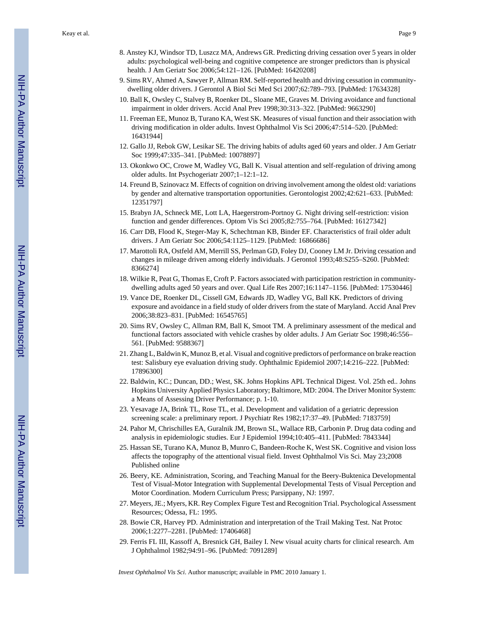Keay et al. Page 9

- 8. Anstey KJ, Windsor TD, Luszcz MA, Andrews GR. Predicting driving cessation over 5 years in older adults: psychological well-being and cognitive competence are stronger predictors than is physical health. J Am Geriatr Soc 2006;54:121–126. [PubMed: 16420208]
- 9. Sims RV, Ahmed A, Sawyer P, Allman RM. Self-reported health and driving cessation in communitydwelling older drivers. J Gerontol A Biol Sci Med Sci 2007;62:789–793. [PubMed: 17634328]
- 10. Ball K, Owsley C, Stalvey B, Roenker DL, Sloane ME, Graves M. Driving avoidance and functional impairment in older drivers. Accid Anal Prev 1998;30:313–322. [PubMed: 9663290]
- 11. Freeman EE, Munoz B, Turano KA, West SK. Measures of visual function and their association with driving modification in older adults. Invest Ophthalmol Vis Sci 2006;47:514–520. [PubMed: 16431944]
- 12. Gallo JJ, Rebok GW, Lesikar SE. The driving habits of adults aged 60 years and older. J Am Geriatr Soc 1999;47:335–341. [PubMed: 10078897]
- 13. Okonkwo OC, Crowe M, Wadley VG, Ball K. Visual attention and self-regulation of driving among older adults. Int Psychogeriatr 2007;1–12:1–12.
- 14. Freund B, Szinovacz M. Effects of cognition on driving involvement among the oldest old: variations by gender and alternative transportation opportunities. Gerontologist 2002;42:621–633. [PubMed: 12351797]
- 15. Brabyn JA, Schneck ME, Lott LA, Haegerstrom-Portnoy G. Night driving self-restriction: vision function and gender differences. Optom Vis Sci 2005;82:755–764. [PubMed: 16127342]
- 16. Carr DB, Flood K, Steger-May K, Schechtman KB, Binder EF. Characteristics of frail older adult drivers. J Am Geriatr Soc 2006;54:1125–1129. [PubMed: 16866686]
- 17. Marottoli RA, Ostfeld AM, Merrill SS, Perlman GD, Foley DJ, Cooney LM Jr. Driving cessation and changes in mileage driven among elderly individuals. J Gerontol 1993;48:S255–S260. [PubMed: 8366274]
- 18. Wilkie R, Peat G, Thomas E, Croft P. Factors associated with participation restriction in communitydwelling adults aged 50 years and over. Qual Life Res 2007;16:1147–1156. [PubMed: 17530446]
- 19. Vance DE, Roenker DL, Cissell GM, Edwards JD, Wadley VG, Ball KK. Predictors of driving exposure and avoidance in a field study of older drivers from the state of Maryland. Accid Anal Prev 2006;38:823–831. [PubMed: 16545765]
- 20. Sims RV, Owsley C, Allman RM, Ball K, Smoot TM. A preliminary assessment of the medical and functional factors associated with vehicle crashes by older adults. J Am Geriatr Soc 1998;46:556– 561. [PubMed: 9588367]
- 21. Zhang L, Baldwin K, Munoz B, et al. Visual and cognitive predictors of performance on brake reaction test: Salisbury eye evaluation driving study. Ophthalmic Epidemiol 2007;14:216–222. [PubMed: 17896300]
- 22. Baldwin, KC.; Duncan, DD.; West, SK. Johns Hopkins APL Technical Digest. Vol. 25th ed.. Johns Hopkins University Applied Physics Laboratory; Baltimore, MD: 2004. The Driver Monitor System: a Means of Assessing Driver Performance; p. 1-10.
- 23. Yesavage JA, Brink TL, Rose TL, et al. Development and validation of a geriatric depression screening scale: a preliminary report. J Psychiatr Res 1982;17:37–49. [PubMed: 7183759]
- 24. Pahor M, Chrischilles EA, Guralnik JM, Brown SL, Wallace RB, Carbonin P. Drug data coding and analysis in epidemiologic studies. Eur J Epidemiol 1994;10:405–411. [PubMed: 7843344]
- 25. Hassan SE, Turano KA, Munoz B, Munro C, Bandeen-Roche K, West SK. Cognitive and vision loss affects the topography of the attentional visual field. Invest Ophthalmol Vis Sci. May 23;2008 Published online
- 26. Beery, KE. Administration, Scoring, and Teaching Manual for the Beery-Buktenica Developmental Test of Visual-Motor Integration with Supplemental Developmental Tests of Visual Perception and Motor Coordination. Modern Curriculum Press; Parsippany, NJ: 1997.
- 27. Meyers, JE.; Myers, KR. Rey Complex Figure Test and Recognition Trial. Psychological Assessment Resources; Odessa, FL: 1995.
- 28. Bowie CR, Harvey PD. Administration and interpretation of the Trail Making Test. Nat Protoc 2006;1:2277–2281. [PubMed: 17406468]
- 29. Ferris FL III, Kassoff A, Bresnick GH, Bailey I. New visual acuity charts for clinical research. Am J Ophthalmol 1982;94:91–96. [PubMed: 7091289]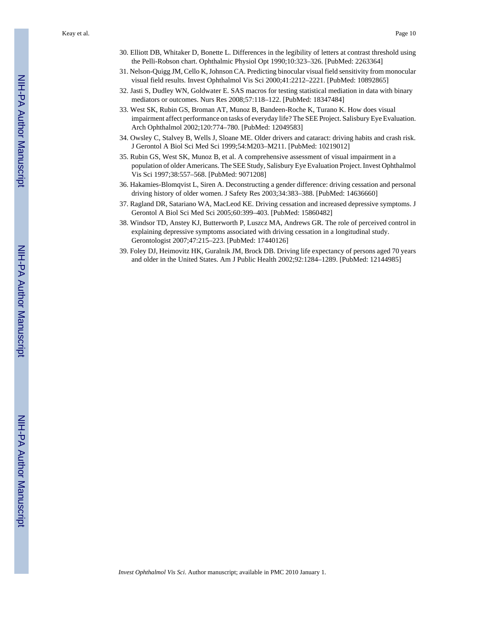Keay et al. Page 10

- 30. Elliott DB, Whitaker D, Bonette L. Differences in the legibility of letters at contrast threshold using the Pelli-Robson chart. Ophthalmic Physiol Opt 1990;10:323–326. [PubMed: 2263364]
- 31. Nelson-Quigg JM, Cello K, Johnson CA. Predicting binocular visual field sensitivity from monocular visual field results. Invest Ophthalmol Vis Sci 2000;41:2212–2221. [PubMed: 10892865]
- 32. Jasti S, Dudley WN, Goldwater E. SAS macros for testing statistical mediation in data with binary mediators or outcomes. Nurs Res 2008;57:118–122. [PubMed: 18347484]
- 33. West SK, Rubin GS, Broman AT, Munoz B, Bandeen-Roche K, Turano K. How does visual impairment affect performance on tasks of everyday life? The SEE Project. Salisbury Eye Evaluation. Arch Ophthalmol 2002;120:774–780. [PubMed: 12049583]
- 34. Owsley C, Stalvey B, Wells J, Sloane ME. Older drivers and cataract: driving habits and crash risk. J Gerontol A Biol Sci Med Sci 1999;54:M203–M211. [PubMed: 10219012]
- 35. Rubin GS, West SK, Munoz B, et al. A comprehensive assessment of visual impairment in a population of older Americans. The SEE Study, Salisbury Eye Evaluation Project. Invest Ophthalmol Vis Sci 1997;38:557–568. [PubMed: 9071208]
- 36. Hakamies-Blomqvist L, Siren A. Deconstructing a gender difference: driving cessation and personal driving history of older women. J Safety Res 2003;34:383–388. [PubMed: 14636660]
- 37. Ragland DR, Satariano WA, MacLeod KE. Driving cessation and increased depressive symptoms. J Gerontol A Biol Sci Med Sci 2005;60:399–403. [PubMed: 15860482]
- 38. Windsor TD, Anstey KJ, Butterworth P, Luszcz MA, Andrews GR. The role of perceived control in explaining depressive symptoms associated with driving cessation in a longitudinal study. Gerontologist 2007;47:215–223. [PubMed: 17440126]
- 39. Foley DJ, Heimovitz HK, Guralnik JM, Brock DB. Driving life expectancy of persons aged 70 years and older in the United States. Am J Public Health 2002;92:1284–1289. [PubMed: 12144985]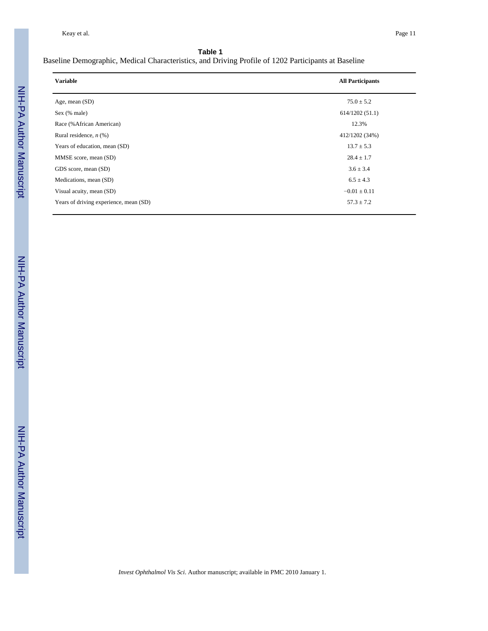#### Baseline Demographic, Medical Characteristics, and Driving Profile of 1202 Participants at Baseline

| <b>Variable</b>                        | <b>All Participants</b> |
|----------------------------------------|-------------------------|
| Age, mean $(SD)$                       | $75.0 \pm 5.2$          |
| Sex (% male)                           | 614/1202(51.1)          |
| Race (% African American)              | 12.3%                   |
| Rural residence, $n$ (%)               | 412/1202 (34%)          |
| Years of education, mean (SD)          | $13.7 \pm 5.3$          |
| MMSE score, mean (SD)                  | $28.4 \pm 1.7$          |
| GDS score, mean (SD)                   | $3.6 \pm 3.4$           |
| Medications, mean (SD)                 | $6.5 \pm 4.3$           |
| Visual acuity, mean (SD)               | $-0.01 \pm 0.11$        |
| Years of driving experience, mean (SD) | $57.3 \pm 7.2$          |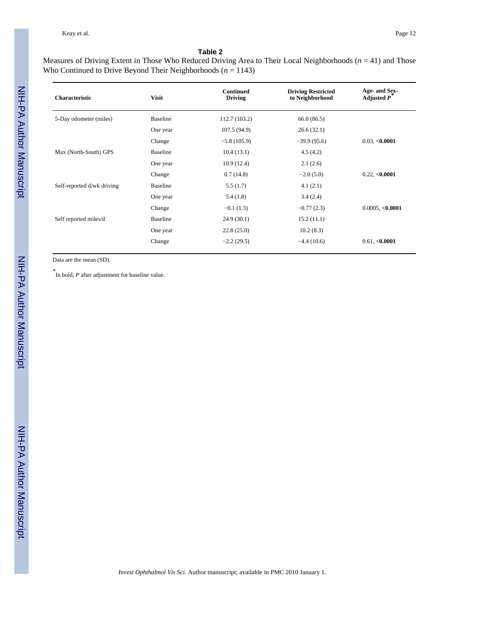#### Measures of Driving Extent in Those Who Reduced Driving Area to Their Local Neighborhoods (*n* = 41) and Those Who Continued to Drive Beyond Their Neighborhoods (*n* = 1143)

| <b>Characteristic</b>      | <b>Visit</b>    | <b>Continued</b><br><b>Driving</b> | <b>Driving Restricted</b><br>to Neighborhood | Age- and Sex-<br>Adjusted $p^*$ |
|----------------------------|-----------------|------------------------------------|----------------------------------------------|---------------------------------|
| 5-Day odometer (miles)     | <b>Baseline</b> | 112.7 (103.2)                      | 66.0(86.5)                                   |                                 |
|                            | One year        | 107.5 (94.9)                       | 26.6(32.1)                                   |                                 |
|                            | Change          | $-5.8(105.9)$                      | $-39.9(95.6)$                                | 0.03, <b>0.0001</b>             |
| Max (North-South) GPS      | Baseline        | 10.4(13.1)                         | 4.5(4.2)                                     |                                 |
|                            | One year        | 10.9(12.4)                         | 2.1(2.6)                                     |                                 |
|                            | Change          | 0.7(14.8)                          | $-2.0(5.0)$                                  | 0.22, <b>0.0001</b>             |
| Self-reported d/wk driving | <b>Baseline</b> | 5.5(1.7)                           | 4.1(2.1)                                     |                                 |
|                            | One year        | 5.4(1.8)                           | 3.4(2.4)                                     |                                 |
|                            | Change          | $-0.1(1.3)$                        | $-0.77(2.3)$                                 | 0.0005, <b>0.0001</b>           |
| Self reported miles/d      | Baseline        | 24.9(30.1)                         | 15.2(11.1)                                   |                                 |
|                            | One year        | 22.8(25.0)                         | 10.2(8.3)                                    |                                 |
|                            | Change          | $-2.2(29.5)$                       | $-4.4(10.6)$                                 | 0.61, <b><i>0.0001</i></b>      |

Data are the mean (SD).

*\** In bold, *P* after adjustment for baseline value.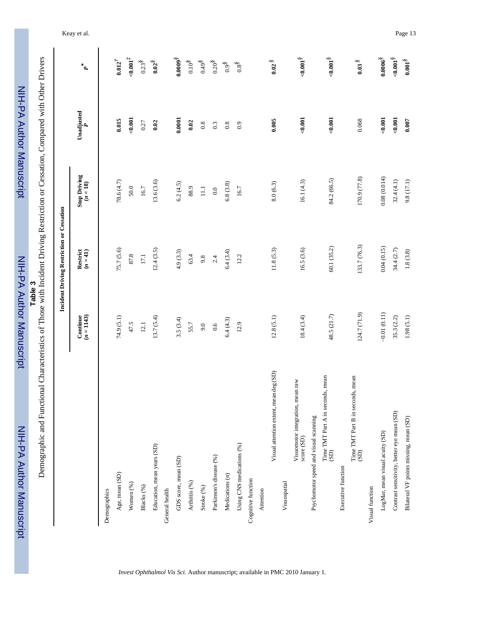| Demographic and Functional Characteristics of Those with Incident Driving Restriction or Cessation, Compared with Other Drivers | Table 3                  |                                           |                                   |                  |                              |
|---------------------------------------------------------------------------------------------------------------------------------|--------------------------|-------------------------------------------|-----------------------------------|------------------|------------------------------|
|                                                                                                                                 |                          | Incident Driving Restriction or Cessation |                                   |                  |                              |
|                                                                                                                                 | Continue<br>$(n = 1143)$ | Restrict<br>$(n = 41)$                    | <b>Stop Driving</b><br>$(n = 18)$ | Unadjusted       | $\mathbf{p}^*$               |
| Demographics                                                                                                                    |                          |                                           |                                   |                  |                              |
| Age, mean (SD)                                                                                                                  | 74.9 (5.1)               | 75.7 (5.6)                                | 78.6 (4.7)                        | 0.015            | $0.012^{\dagger}$            |
| Women (%)                                                                                                                       | 47.5                     | 87.8                                      | $50.0$                            | $-0.001$         | $10000 +$                    |
| Blacks (%)                                                                                                                      | 12.1                     | $17.1\,$                                  | 16.7                              | 0.27             | $0.23^{8}$                   |
| Education, mean years (SD)                                                                                                      | 13.7(5.4)                | 12.4(3.5)                                 | 13.6 (3.6)                        | 0.02             | $0.02^\circ$                 |
| General health                                                                                                                  |                          |                                           |                                   |                  |                              |
| GDS score, mean (SD)                                                                                                            | 3.5(3.4)                 | 4.9(3.3)                                  | 6.2(4.5)                          | 0.0001           | $0.0009^\text{\S}$           |
| Arthritis (%)                                                                                                                   | 55.7                     | 63.4                                      | 88.9                              | 0.02             | $0.10^{\textstyle{\S}}$      |
| Stroke <sup>(%)</sup>                                                                                                           | 9.0                      | 9.8                                       | $\Xi$                             | 0.8              | $0.49^{\$}$                  |
| Parkinson's disease (%)                                                                                                         | 0.6                      | 2.4                                       | 0.0                               | $0.\overline{3}$ | $0.20^{\textstyle{\S}}$      |
| Medications $(n)$                                                                                                               | 6.4(4.3)                 | 6.4(3.4)                                  | 6.8(3.8)                          | 0.8              | $0.9^{\textstyle\rm{g}}$     |
| Using CNS medications (%)                                                                                                       | 12.9                     | 12.2                                      | 16.7                              | 0.9              | $0.8^{\S}$                   |
| Cognitive function                                                                                                              |                          |                                           |                                   |                  |                              |
| Attention                                                                                                                       |                          |                                           |                                   |                  |                              |
| Visual attention extent, mean deg (SD)                                                                                          | 12.8(5.1)                | 11.8(5.3)                                 | 8.0(6.3)                          | 0.005            | $0.02$ $\delta$              |
| Visuospatial                                                                                                                    |                          |                                           |                                   |                  |                              |
| mean raw<br>Visuomotor integration,<br>score (SD)                                                                               | 18.4(3.4)                | 16.5(3.6)                                 | 16.1(4.3)                         | 0.001            | $<0.001^\circ$               |
| Psychomotor speed and visual scanning                                                                                           |                          |                                           |                                   |                  |                              |
| Time TMT Part A in seconds, mean<br>(SD)                                                                                        | 48.5 (21.7)              | 60.1 (35.2)                               | 84.2 (66.5)                       | 0.001            | 0.001                        |
| Executive function                                                                                                              |                          |                                           |                                   |                  |                              |
| Time TMT Part B in seconds, mean<br>$\left( \text{SD} \right)$                                                                  | 124.7 (71.9)             | 133.7 (76.3)                              | 170.9 (77.8)                      | 0.068            | $0.03\,$ $\,$                |
| Visual function                                                                                                                 |                          |                                           |                                   |                  |                              |
| LogMar, mean visual acuity (SD)                                                                                                 | $-0.01(0.11)$            | 0.04(0.15)                                | 0.08(0.014)                       | $-0.001$         | $\textbf{0.0006}^\textit{S}$ |
| Contrast sensitivity, better eye mean (SD)                                                                                      | 35.3(2.2)                | 34.4 (2.7)                                | 32.4(4.1)                         | $-0.001$         | $<0.001^\circ$               |
| Bilateral VF points missing, mean (SD)                                                                                          | 1.98(5.1)                | 1.8(3.8)                                  | 9.8 (17.1)                        | 0.007            | $0.001^\circ$                |

*Invest Ophthalmol Vis Sci*. Author manuscript; available in PMC 2010 January 1.

Keay et al. Page 13

NIH-PA Author Manuscript

NIH-PA Author Manuscript

NIH-PA Author Manuscript

NIH-PA Author Manuscript

NIH-PA Author Manuscript

NIH-PA Author Manuscript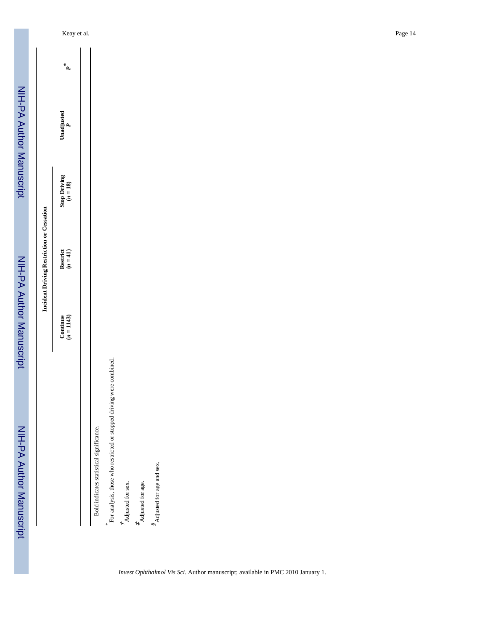# Incident Driving Restriction or Cessation **Incident Driving Restriction or Cessation**

|                                                                     | Continue<br>$(n = 1143)$ | Restrict<br>$(n = 41)$ | Stop Driving<br>$(n = 18)$ | Unadjusted $\frac{p}{P}$ | $\mathbf{a}^*$ |
|---------------------------------------------------------------------|--------------------------|------------------------|----------------------------|--------------------------|----------------|
|                                                                     |                          |                        |                            |                          |                |
| Bold indicates statistical significance.                            |                          |                        |                            |                          |                |
| For analysis, those who restricted or stopped driving were combined |                          |                        |                            |                          |                |

*\** †‡

 Adjusted for sex. Adjusted for age. *§*Adjusted for age and sex.

 $\stackrel{\text{g}}{S}\!$  Adjusted for age and sex.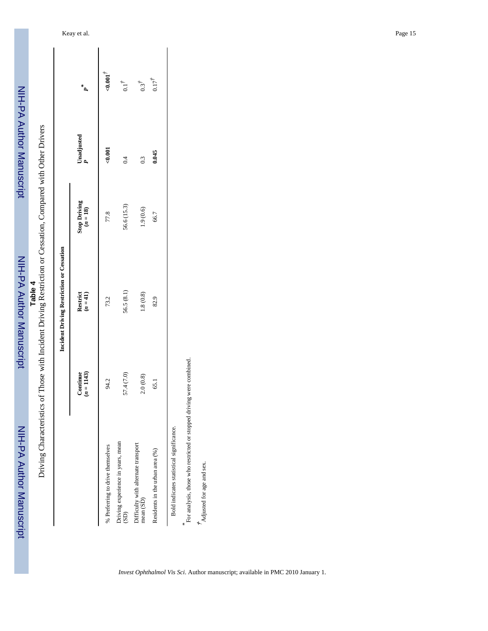Table 4<br>Driving Characteristics of Those with Incident Driving Restriction or Cessation, Compared with Other Drivers

|                                                                |                          | Incident Driving Restriction or Cessation |                                   |                |                  |
|----------------------------------------------------------------|--------------------------|-------------------------------------------|-----------------------------------|----------------|------------------|
|                                                                | $(n = 1143)$<br>Continue | Restrict<br>$(n = 41)$                    | <b>Stop Driving</b><br>$(n = 18)$ | Unadjusted $P$ | $P^*$            |
| % Preferring to drive themselves                               | 94.2                     | 73.2                                      | 77.8                              | &0.001         | 10001            |
| Driving experience in years, mean<br>$\widetilde{\mathrm{GD}}$ | 57.4 (7.0)               | 56.5 (8.1)                                | 56.6 (15.3)                       | $\ddot{0}$     | 0.1 <sup>†</sup> |
| Difficulty with alternate transport<br>mean (SD)               | 2.0(0.8)                 | 1.8(0.8)                                  | 1.9(0.6)                          | $\overline{0}$ | $0.3^\dagger$    |
| Residents in the urban area (%)                                | 65.1                     | 82.9                                      | 66.7                              | 0.045          | $0.17^{\dagger}$ |

Bold indicates statistical significance.

*\** For analysis, those who restricted or stopped driving were combined.

 $*$  Adjusted for age and sex. Adjusted for age and sex.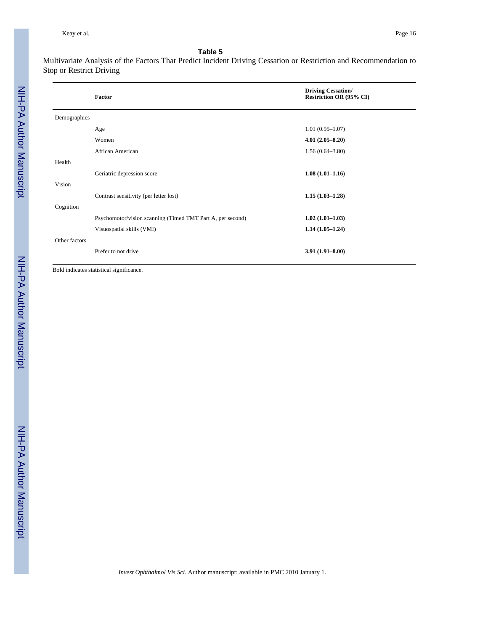Multivariate Analysis of the Factors That Predict Incident Driving Cessation or Restriction and Recommendation to Stop or Restrict Driving

|               | Factor                                                     | <b>Driving Cessation/</b><br><b>Restriction OR (95% CI)</b> |
|---------------|------------------------------------------------------------|-------------------------------------------------------------|
| Demographics  |                                                            |                                                             |
|               | Age                                                        | $1.01(0.95 - 1.07)$                                         |
|               | Women                                                      | $4.01(2.05 - 8.20)$                                         |
|               | African American                                           | $1.56(0.64 - 3.80)$                                         |
| Health        |                                                            |                                                             |
|               | Geriatric depression score                                 | $1.08(1.01 - 1.16)$                                         |
| Vision        |                                                            |                                                             |
|               | Contrast sensitivity (per letter lost)                     | $1.15(1.03 - 1.28)$                                         |
| Cognition     |                                                            |                                                             |
|               | Psychomotor/vision scanning (Timed TMT Part A, per second) | $1.02(1.01-1.03)$                                           |
|               | Visuospatial skills (VMI)                                  | $1.14(1.05-1.24)$                                           |
| Other factors |                                                            |                                                             |
|               | Prefer to not drive                                        | $3.91(1.91 - 8.00)$                                         |

Bold indicates statistical significance.